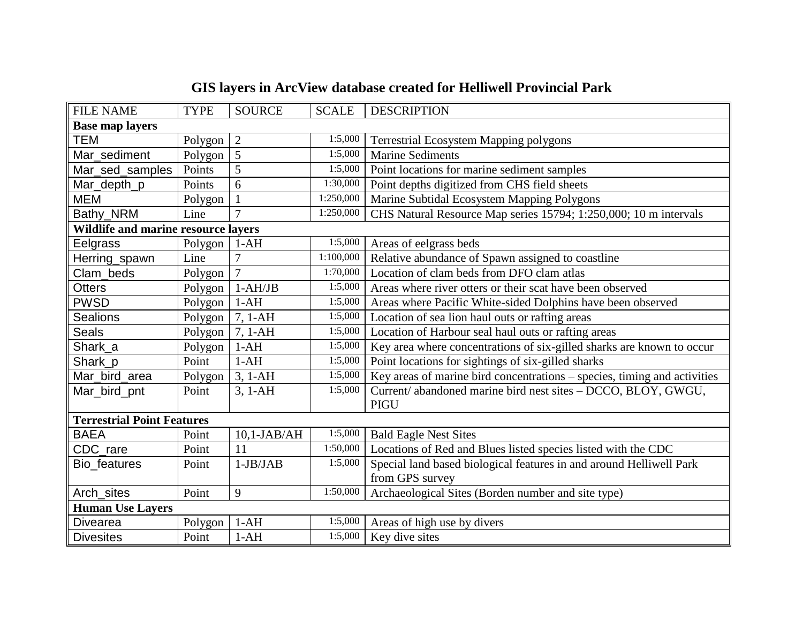| <b>FILE NAME</b>                           | <b>TYPE</b> | <b>SOURCE</b>  | <b>SCALE</b> | <b>DESCRIPTION</b>                                                       |  |  |
|--------------------------------------------|-------------|----------------|--------------|--------------------------------------------------------------------------|--|--|
| <b>Base map layers</b>                     |             |                |              |                                                                          |  |  |
| <b>TEM</b>                                 | Polygon     | $\overline{2}$ | 1:5,000      | <b>Terrestrial Ecosystem Mapping polygons</b>                            |  |  |
| Mar_sediment                               | Polygon     | 5              | 1:5,000      | <b>Marine Sediments</b>                                                  |  |  |
| Mar_sed_samples                            | Points      | 5              | 1:5,000      | Point locations for marine sediment samples                              |  |  |
| Mar_depth_p                                | Points      | 6              | 1:30,000     | Point depths digitized from CHS field sheets                             |  |  |
| <b>MEM</b>                                 | Polygon     | $\mathbf{1}$   | 1:250,000    | Marine Subtidal Ecosystem Mapping Polygons                               |  |  |
| Bathy_NRM                                  | Line        |                | 1:250,000    | CHS Natural Resource Map series 15794; 1:250,000; 10 m intervals         |  |  |
| <b>Wildlife and marine resource layers</b> |             |                |              |                                                                          |  |  |
| Eelgrass                                   | Polygon     | $1-AH$         | 1:5,000      | Areas of eelgrass beds                                                   |  |  |
| Herring_spawn                              | Line        | $\overline{7}$ | 1:100,000    | Relative abundance of Spawn assigned to coastline                        |  |  |
| Clam_beds                                  | Polygon     | $\overline{7}$ | 1:70,000     | Location of clam beds from DFO clam atlas                                |  |  |
| <b>Otters</b>                              | Polygon     | $1-AH/JB$      | 1:5,000      | Areas where river otters or their scat have been observed                |  |  |
| <b>PWSD</b>                                | Polygon     | $1-AH$         | 1:5,000      | Areas where Pacific White-sided Dolphins have been observed              |  |  |
| <b>Sealions</b>                            | Polygon     | $7, 1-AH$      | 1:5,000      | Location of sea lion haul outs or rafting areas                          |  |  |
| <b>Seals</b>                               | Polygon     | 7, 1-AH        | 1:5,000      | Location of Harbour seal haul outs or rafting areas                      |  |  |
| Shark_a                                    | Polygon     | $1-AH$         | 1:5,000      | Key area where concentrations of six-gilled sharks are known to occur    |  |  |
| Shark_p                                    | Point       | $1-AH$         | 1:5,000      | Point locations for sightings of six-gilled sharks                       |  |  |
| Mar_bird_area                              | Polygon     | $3, 1-AH$      | 1:5,000      | Key areas of marine bird concentrations - species, timing and activities |  |  |
| Mar_bird_pnt                               | Point       | $3, 1-AH$      | 1:5,000      | Current/ abandoned marine bird nest sites - DCCO, BLOY, GWGU,            |  |  |
|                                            |             |                |              | <b>PIGU</b>                                                              |  |  |
| <b>Terrestrial Point Features</b>          |             |                |              |                                                                          |  |  |
| <b>BAEA</b>                                | Point       | $10,1-JAB/AH$  | 1:5,000      | <b>Bald Eagle Nest Sites</b>                                             |  |  |
| CDC_rare                                   | Point       | 11             | 1:50,000     | Locations of Red and Blues listed species listed with the CDC            |  |  |
| Bio_features                               | Point       | $1-JB/JAB$     | 1:5,000      | Special land based biological features in and around Helliwell Park      |  |  |
|                                            |             |                |              | from GPS survey                                                          |  |  |
| Arch_sites                                 | Point       | 9              | 1:50,000     | Archaeological Sites (Borden number and site type)                       |  |  |
| <b>Human Use Layers</b>                    |             |                |              |                                                                          |  |  |
| <b>Divearea</b>                            | Polygon     | $1-AH$         | 1:5,000      | Areas of high use by divers                                              |  |  |
| <b>Divesites</b>                           | Point       | $1-AH$         | 1:5,000      | Key dive sites                                                           |  |  |

## **GIS layers in ArcView database created for Helliwell Provincial Park**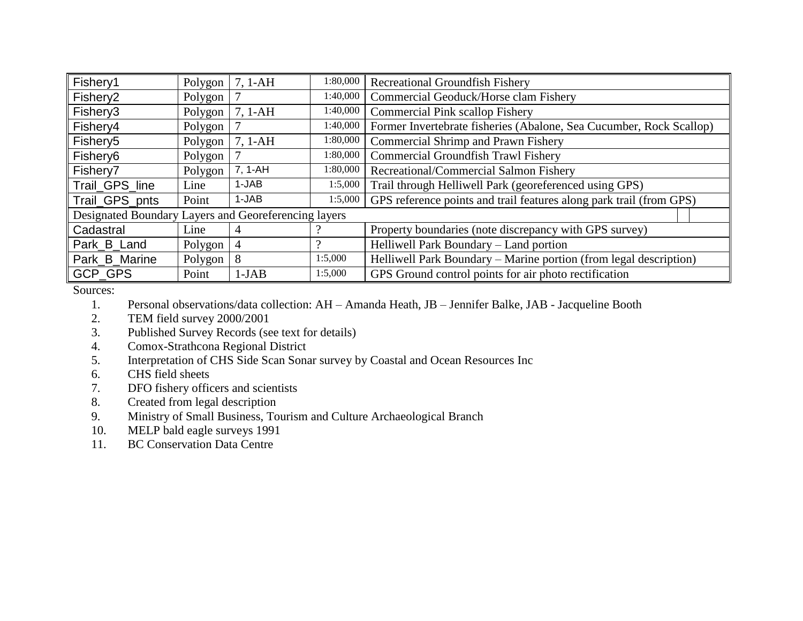| Fishery1                                             | Polygon <sup>1</sup> | $7, 1-AH$ | 1:80,000 | <b>Recreational Groundfish Fishery</b>                              |  |
|------------------------------------------------------|----------------------|-----------|----------|---------------------------------------------------------------------|--|
| Fishery <sub>2</sub>                                 | Polygon              |           | 1:40,000 | Commercial Geoduck/Horse clam Fishery                               |  |
| Fishery3                                             | Polygon              | $7, 1-AH$ | 1:40,000 | <b>Commercial Pink scallop Fishery</b>                              |  |
| Fishery4                                             | Polygon              |           | 1:40,000 | Former Invertebrate fisheries (Abalone, Sea Cucumber, Rock Scallop) |  |
| Fishery5                                             | Polygon <sup>1</sup> | $7, 1-AH$ | 1:80,000 | <b>Commercial Shrimp and Prawn Fishery</b>                          |  |
| Fishery <sub>6</sub>                                 | Polygon              |           | 1:80,000 | <b>Commercial Groundfish Trawl Fishery</b>                          |  |
| Fishery7                                             | Polygon              | 7, 1-AH   | 1:80,000 | Recreational/Commercial Salmon Fishery                              |  |
| Trail_GPS_line                                       | Line                 | 1-JAB     | 1:5,000  | Trail through Helliwell Park (georeferenced using GPS)              |  |
| Trail_GPS_pnts                                       | Point                | 1-JAB     | 1:5,000  | GPS reference points and trail features along park trail (from GPS) |  |
| Designated Boundary Layers and Georeferencing layers |                      |           |          |                                                                     |  |
| Cadastral                                            | Line                 | 4         |          | Property boundaries (note discrepancy with GPS survey)              |  |
| Park_B_Land                                          | Polygon              | 4         |          | Helliwell Park Boundary – Land portion                              |  |
| Park_B_Marine                                        | Polygon              | 8         | 1:5,000  | Helliwell Park Boundary - Marine portion (from legal description)   |  |
| <b>GCP GPS</b>                                       | Point                | $1-JAB$   | 1:5,000  | GPS Ground control points for air photo rectification               |  |

Sources:

1. Personal observations/data collection: AH – Amanda Heath, JB – Jennifer Balke, JAB - Jacqueline Booth

- 2. TEM field survey 2000/2001
- 3. Published Survey Records (see text for details)
- 4. Comox-Strathcona Regional District
- 5. Interpretation of CHS Side Scan Sonar survey by Coastal and Ocean Resources Inc
- 6. CHS field sheets
- 7. DFO fishery officers and scientists<br>8. Created from legal description
- Created from legal description
- 9. Ministry of Small Business, Tourism and Culture Archaeological Branch
- 10. MELP bald eagle surveys 1991
- 11. BC Conservation Data Centre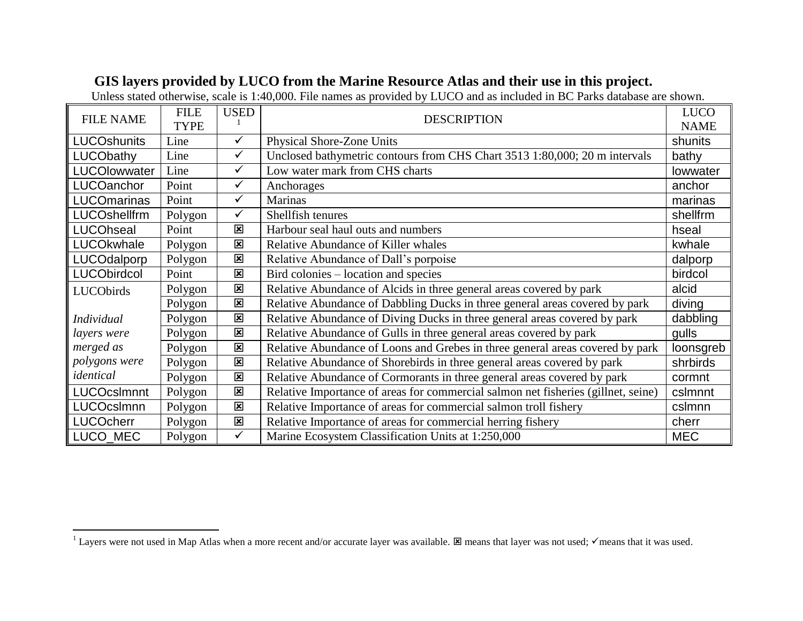## **GIS layers provided by LUCO from the Marine Resource Atlas and their use in this project.**

Unless stated otherwise, scale is 1:40,000. File names as provided by LUCO and as included in BC Parks database are shown.

|                                 | <b>FILE</b> | <b>USED</b>             |                                                                                   |            |
|---------------------------------|-------------|-------------------------|-----------------------------------------------------------------------------------|------------|
| <b>FILE NAME</b><br><b>TYPE</b> |             |                         | <b>DESCRIPTION</b>                                                                |            |
| <b>LUCOshunits</b>              | Line        | ✓                       | <b>Physical Shore-Zone Units</b>                                                  | shunits    |
| LUCObathy                       | Line        | $\checkmark$            | Unclosed bathymetric contours from CHS Chart 3513 1:80,000; 20 m intervals        | bathy      |
| LUCOlowwater                    | Line        | $\checkmark$            | Low water mark from CHS charts                                                    | lowwater   |
| LUCOanchor                      | Point       | $\checkmark$            | Anchorages                                                                        | anchor     |
| <b>LUCOmarinas</b>              | Point       | $\checkmark$            | <b>Marinas</b>                                                                    | marinas    |
| LUCOshellfrm                    | Polygon     | $\checkmark$            | Shellfish tenures                                                                 | shellfrm   |
| LUCOhseal                       | Point       | $\overline{\mathbf{x}}$ | Harbour seal haul outs and numbers                                                | hseal      |
| LUCOkwhale                      | Polygon     | 図                       | Relative Abundance of Killer whales                                               | kwhale     |
| LUCOdalporp                     | Polygon     | 図                       | Relative Abundance of Dall's porpoise                                             | dalporp    |
| <b>LUCObirdcol</b>              | Point       | $\overline{\mathbf{x}}$ | Bird colonies – location and species                                              | birdcol    |
| LUCObirds                       | Polygon     | 図                       | Relative Abundance of Alcids in three general areas covered by park               | alcid      |
|                                 | Polygon     | 図                       | Relative Abundance of Dabbling Ducks in three general areas covered by park       | diving     |
| <b>Individual</b>               | Polygon     | $\overline{\mathbf{x}}$ | Relative Abundance of Diving Ducks in three general areas covered by park         | dabbling   |
| layers were                     | Polygon     | $\overline{\mathbf{x}}$ | Relative Abundance of Gulls in three general areas covered by park                | gulls      |
| merged as                       | Polygon     | 図                       | Relative Abundance of Loons and Grebes in three general areas covered by park     | loonsgreb  |
| polygons were                   | Polygon     | $\overline{\mathbf{x}}$ | Relative Abundance of Shorebirds in three general areas covered by park           | shrbirds   |
| identical                       | Polygon     | 図                       | Relative Abundance of Cormorants in three general areas covered by park           | cormnt     |
| <b>LUCOcsImnnt</b>              | Polygon     | $\overline{\mathbf{x}}$ | Relative Importance of areas for commercial salmon net fisheries (gillnet, seine) | cslmnnt    |
| LUCOcsImnn                      | Polygon     | $\overline{\mathbf{x}}$ | Relative Importance of areas for commercial salmon troll fishery                  | cslmnn     |
| <b>LUCOcherr</b>                | Polygon     | $\overline{\mathbf{x}}$ | Relative Importance of areas for commercial herring fishery                       | cherr      |
| LUCO_MEC                        | Polygon     | $\checkmark$            | Marine Ecosystem Classification Units at 1:250,000                                | <b>MEC</b> |

 $\overline{a}$ 

<sup>&</sup>lt;sup>1</sup> Layers were not used in Map Atlas when a more recent and/or accurate layer was available.  $\boxtimes$  means that layer was not used;  $\checkmark$  means that it was used.